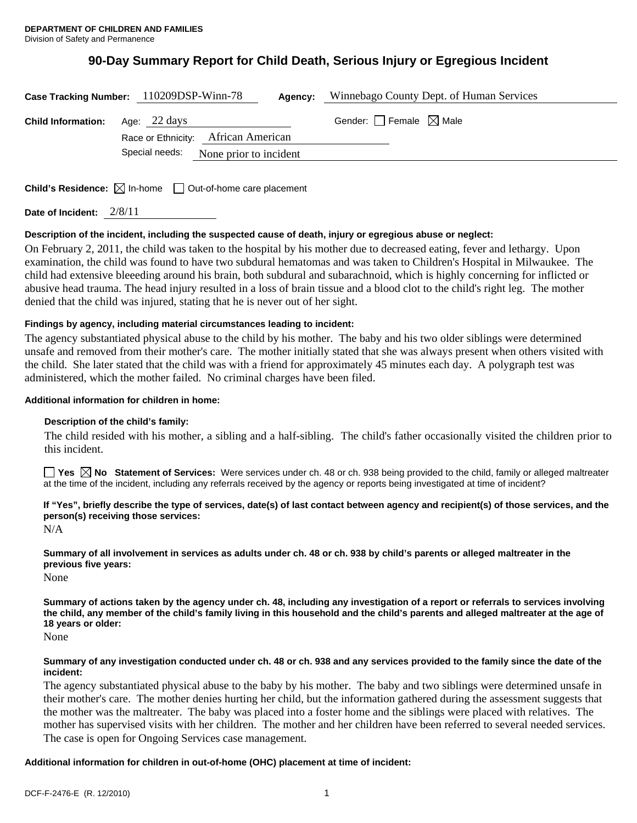# **90-Day Summary Report for Child Death, Serious Injury or Egregious Incident**

|                           | Case Tracking Number: 110209DSP-Winn-78<br>Agency:                              | Winnebago County Dept. of Human Services |
|---------------------------|---------------------------------------------------------------------------------|------------------------------------------|
| <b>Child Information:</b> | Age: 22 days                                                                    | Gender: $\Box$ Female $\boxtimes$ Male   |
|                           | Race or Ethnicity: African American<br>Special needs:<br>None prior to incident |                                          |
|                           | <b>Child's Residence:</b> $\boxtimes$ In-home $\Box$ Out-of-home care placement |                                          |

**Date of Incident:** 2/8/11

# **Description of the incident, including the suspected cause of death, injury or egregious abuse or neglect:**

On February 2, 2011, the child was taken to the hospital by his mother due to decreased eating, fever and lethargy. Upon examination, the child was found to have two subdural hematomas and was taken to Children's Hospital in Milwaukee. The child had extensive bleeeding around his brain, both subdural and subarachnoid, which is highly concerning for inflicted or abusive head trauma. The head injury resulted in a loss of brain tissue and a blood clot to the child's right leg. The mother denied that the child was injured, stating that he is never out of her sight.

# **Findings by agency, including material circumstances leading to incident:**

The agency substantiated physical abuse to the child by his mother. The baby and his two older siblings were determined unsafe and removed from their mother's care. The mother initially stated that she was always present when others visited with the child. She later stated that the child was with a friend for approximately 45 minutes each day. A polygraph test was administered, which the mother failed. No criminal charges have been filed.

# **Additional information for children in home:**

# **Description of the child's family:**

The child resided with his mother, a sibling and a half-sibling. The child's father occasionally visited the children prior to this incident.

■ Yes △ No Statement of Services: Were services under ch. 48 or ch. 938 being provided to the child, family or alleged maltreater at the time of the incident, including any referrals received by the agency or reports being investigated at time of incident?

# **If "Yes", briefly describe the type of services, date(s) of last contact between agency and recipient(s) of those services, and the person(s) receiving those services:**

N/A

**Summary of all involvement in services as adults under ch. 48 or ch. 938 by child's parents or alleged maltreater in the previous five years:** 

None

**Summary of actions taken by the agency under ch. 48, including any investigation of a report or referrals to services involving the child, any member of the child's family living in this household and the child's parents and alleged maltreater at the age of 18 years or older:** 

None

#### **Summary of any investigation conducted under ch. 48 or ch. 938 and any services provided to the family since the date of the incident:**

The agency substantiated physical abuse to the baby by his mother. The baby and two siblings were determined unsafe in their mother's care. The mother denies hurting her child, but the information gathered during the assessment suggests that the mother was the maltreater. The baby was placed into a foster home and the siblings were placed with relatives. The mother has supervised visits with her children. The mother and her children have been referred to several needed services. The case is open for Ongoing Services case management.

# **Additional information for children in out-of-home (OHC) placement at time of incident:**